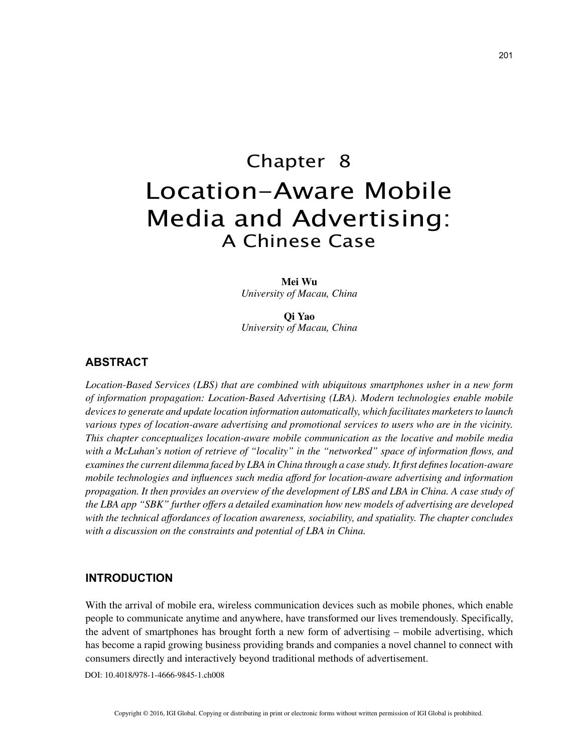# Chapter 8 Location-Aware Mobile Media and Advertising: A Chinese Case

**Mei Wu** *University of Macau, China*

**Qi Yao** *University of Macau, China*

# **ABSTRACT**

*Location-Based Services (LBS) that are combined with ubiquitous smartphones usher in a new form of information propagation: Location-Based Advertising (LBA). Modern technologies enable mobile devices to generate and update location information automatically, which facilitates marketers to launch various types of location-aware advertising and promotional services to users who are in the vicinity. This chapter conceptualizes location-aware mobile communication as the locative and mobile media with a McLuhan's notion of retrieve of "locality" in the "networked" space of information flows, and examines the current dilemma faced by LBA in China through a case study. It first defines location-aware mobile technologies and influences such media afford for location-aware advertising and information propagation. It then provides an overview of the development of LBS and LBA in China. A case study of the LBA app "SBK" further offers a detailed examination how new models of advertising are developed with the technical affordances of location awareness, sociability, and spatiality. The chapter concludes with a discussion on the constraints and potential of LBA in China.*

## **INTRODUCTION**

With the arrival of mobile era, wireless communication devices such as mobile phones, which enable people to communicate anytime and anywhere, have transformed our lives tremendously. Specifically, the advent of smartphones has brought forth a new form of advertising – mobile advertising, which has become a rapid growing business providing brands and companies a novel channel to connect with consumers directly and interactively beyond traditional methods of advertisement.

DOI: 10.4018/978-1-4666-9845-1.ch008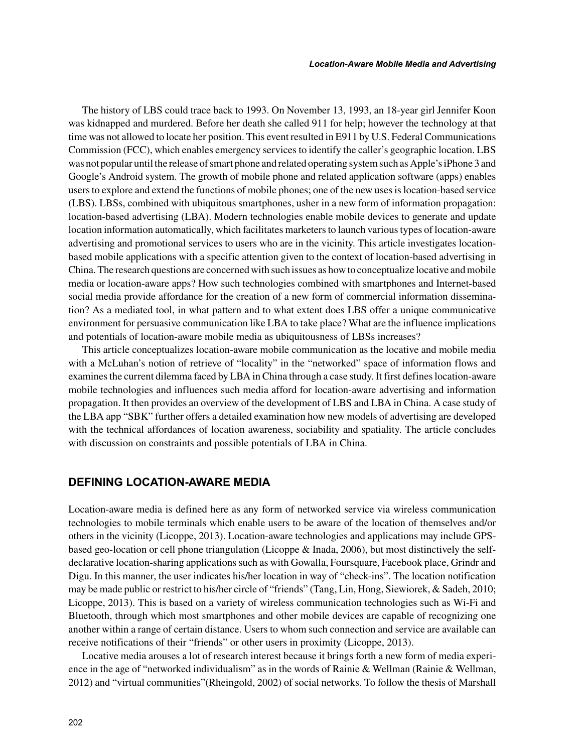The history of LBS could trace back to 1993. On November 13, 1993, an 18-year girl Jennifer Koon was kidnapped and murdered. Before her death she called 911 for help; however the technology at that time was not allowed to locate her position. This event resulted in E911 by U.S. Federal Communications Commission (FCC), which enables emergency services to identify the caller's geographic location. LBS was not popular until the release of smart phone and related operating system such as Apple's iPhone 3 and Google's Android system. The growth of mobile phone and related application software (apps) enables users to explore and extend the functions of mobile phones; one of the new uses is location-based service (LBS). LBSs, combined with ubiquitous smartphones, usher in a new form of information propagation: location-based advertising (LBA). Modern technologies enable mobile devices to generate and update location information automatically, which facilitates marketers to launch various types of location-aware advertising and promotional services to users who are in the vicinity. This article investigates locationbased mobile applications with a specific attention given to the context of location-based advertising in China. The research questions are concerned with such issues as how to conceptualize locative and mobile media or location-aware apps? How such technologies combined with smartphones and Internet-based social media provide affordance for the creation of a new form of commercial information dissemination? As a mediated tool, in what pattern and to what extent does LBS offer a unique communicative environment for persuasive communication like LBA to take place? What are the influence implications and potentials of location-aware mobile media as ubiquitousness of LBSs increases?

This article conceptualizes location-aware mobile communication as the locative and mobile media with a McLuhan's notion of retrieve of "locality" in the "networked" space of information flows and examines the current dilemma faced by LBA in China through a case study. It first defines location-aware mobile technologies and influences such media afford for location-aware advertising and information propagation. It then provides an overview of the development of LBS and LBA in China. A case study of the LBA app "SBK" further offers a detailed examination how new models of advertising are developed with the technical affordances of location awareness, sociability and spatiality. The article concludes with discussion on constraints and possible potentials of LBA in China.

# **DEFINING LOCATION-AWARE MEDIA**

Location-aware media is defined here as any form of networked service via wireless communication technologies to mobile terminals which enable users to be aware of the location of themselves and/or others in the vicinity (Licoppe, 2013). Location-aware technologies and applications may include GPSbased geo-location or cell phone triangulation (Licoppe & Inada, 2006), but most distinctively the selfdeclarative location-sharing applications such as with Gowalla, Foursquare, Facebook place, Grindr and Digu. In this manner, the user indicates his/her location in way of "check-ins". The location notification may be made public or restrict to his/her circle of "friends" (Tang, Lin, Hong, Siewiorek, & Sadeh, 2010; Licoppe, 2013). This is based on a variety of wireless communication technologies such as Wi-Fi and Bluetooth, through which most smartphones and other mobile devices are capable of recognizing one another within a range of certain distance. Users to whom such connection and service are available can receive notifications of their "friends" or other users in proximity (Licoppe, 2013).

Locative media arouses a lot of research interest because it brings forth a new form of media experience in the age of "networked individualism" as in the words of Rainie & Wellman (Rainie & Wellman, 2012) and "virtual communities"(Rheingold, 2002) of social networks. To follow the thesis of Marshall